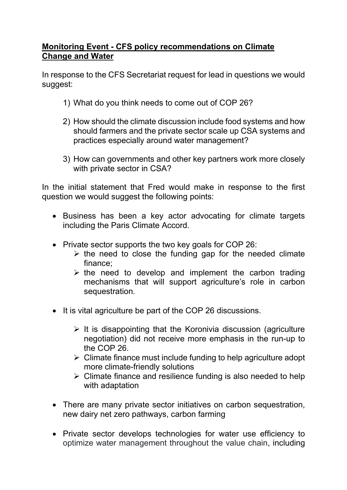## **Monitoring Event - CFS policy recommendations on Climate Change and Water**

In response to the CFS Secretariat request for lead in questions we would suggest:

- 1) What do you think needs to come out of COP 26?
- 2) How should the climate discussion include food systems and how should farmers and the private sector scale up CSA systems and practices especially around water management?
- 3) How can governments and other key partners work more closely with private sector in CSA?

In the initial statement that Fred would make in response to the first question we would suggest the following points:

- Business has been a key actor advocating for climate targets including the Paris Climate Accord.
- Private sector supports the two key goals for COP 26:
	- $\triangleright$  the need to close the funding gap for the needed climate finance;
	- $\triangleright$  the need to develop and implement the carbon trading mechanisms that will support agriculture's role in carbon sequestration.
- It is vital agriculture be part of the COP 26 discussions.
	- $\triangleright$  It is disappointing that the Koronivia discussion (agriculture negotiation) did not receive more emphasis in the run-up to the COP 26.
	- Climate finance must include funding to help agriculture adopt more climate-friendly solutions
	- Climate finance and resilience funding is also needed to help with adaptation
- There are many private sector initiatives on carbon sequestration, new dairy net zero pathways, carbon farming
- Private sector develops technologies for water use efficiency to optimize water management throughout the value chain, including